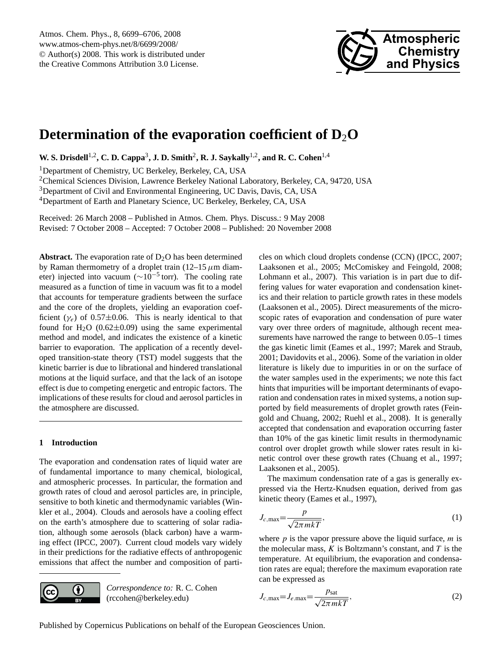

# <span id="page-0-0"></span>**Determination of the evaporation coefficient of D**2**O**

**W. S. Drisdell<sup>1,2</sup>, C. D. Cappa<sup>3</sup>, J. D. Smith<sup>2</sup>, R. J. Saykally<sup>1,2</sup>, and R. C. Cohen<sup>1,4</sup>** 

<sup>1</sup>Department of Chemistry, UC Berkeley, Berkeley, CA, USA

<sup>2</sup>Chemical Sciences Division, Lawrence Berkeley National Laboratory, Berkeley, CA, 94720, USA

<sup>3</sup>Department of Civil and Environmental Engineering, UC Davis, Davis, CA, USA

<sup>4</sup>Department of Earth and Planetary Science, UC Berkeley, Berkeley, CA, USA

Received: 26 March 2008 – Published in Atmos. Chem. Phys. Discuss.: 9 May 2008 Revised: 7 October 2008 – Accepted: 7 October 2008 – Published: 20 November 2008

**Abstract.** The evaporation rate of  $D_2O$  has been determined by Raman thermometry of a droplet train (12–15  $\mu$ m diameter) injected into vacuum ( $\sim 10^{-5}$  torr). The cooling rate measured as a function of time in vacuum was fit to a model that accounts for temperature gradients between the surface and the core of the droplets, yielding an evaporation coefficient ( $\gamma_e$ ) of 0.57 $\pm$ 0.06. This is nearly identical to that found for  $H_2O$  (0.62 $\pm$ 0.09) using the same experimental method and model, and indicates the existence of a kinetic barrier to evaporation. The application of a recently developed transition-state theory (TST) model suggests that the kinetic barrier is due to librational and hindered translational motions at the liquid surface, and that the lack of an isotope effect is due to competing energetic and entropic factors. The implications of these results for cloud and aerosol particles in the atmosphere are discussed.

## **1 Introduction**

The evaporation and condensation rates of liquid water are of fundamental importance to many chemical, biological, and atmospheric processes. In particular, the formation and growth rates of cloud and aerosol particles are, in principle, sensitive to both kinetic and thermodynamic variables (Winkler et al., 2004). Clouds and aerosols have a cooling effect on the earth's atmosphere due to scattering of solar radiation, although some aerosols (black carbon) have a warming effect (IPCC, 2007). Current cloud models vary widely in their predictions for the radiative effects of anthropogenic emissions that affect the number and composition of parti-



*Correspondence to:* R. C. Cohen (rccohen@berkeley.edu)

cles on which cloud droplets condense (CCN) (IPCC, 2007; Laaksonen et al., 2005; McComiskey and Feingold, 2008; Lohmann et al., 2007). This variation is in part due to differing values for water evaporation and condensation kinetics and their relation to particle growth rates in these models (Laaksonen et al., 2005). Direct measurements of the microscopic rates of evaporation and condensation of pure water vary over three orders of magnitude, although recent measurements have narrowed the range to between  $0.05-1$  times the gas kinetic limit (Eames et al., 1997; Marek and Straub, 2001; Davidovits et al., 2006). Some of the variation in older literature is likely due to impurities in or on the surface of the water samples used in the experiments; we note this fact hints that impurities will be important determinants of evaporation and condensation rates in mixed systems, a notion supported by field measurements of droplet growth rates (Feingold and Chuang, 2002; Ruehl et al., 2008). It is generally accepted that condensation and evaporation occurring faster than 10% of the gas kinetic limit results in thermodynamic control over droplet growth while slower rates result in kinetic control over these growth rates (Chuang et al., 1997; Laaksonen et al., 2005).

The maximum condensation rate of a gas is generally expressed via the Hertz-Knudsen equation, derived from gas kinetic theory (Eames et al., 1997),

$$
J_{c,\text{max}} = \frac{p}{\sqrt{2\pi mkT}},\tag{1}
$$

where  $p$  is the vapor pressure above the liquid surface,  $m$  is the molecular mass,  $K$  is Boltzmann's constant, and  $T$  is the temperature. At equilibrium, the evaporation and condensation rates are equal; therefore the maximum evaporation rate can be expressed as

$$
J_{c,\text{max}} = J_{e,\text{max}} = \frac{p_{\text{sat}}}{\sqrt{2\pi mkT}},
$$
\n(2)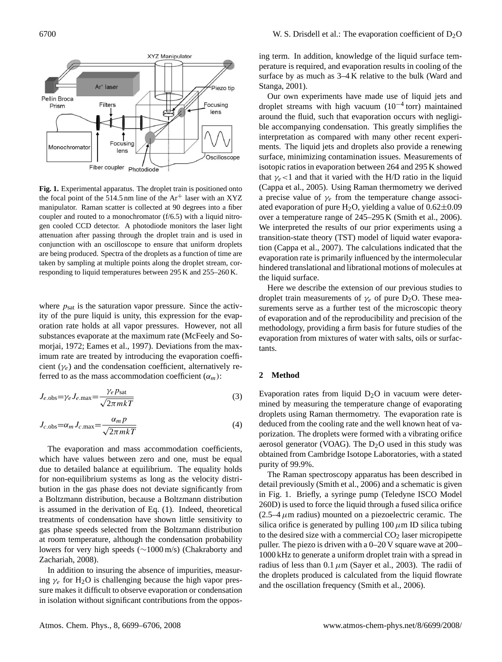

**Fig. 1.** Experimental apparatus. The droplet train is positioned onto the focal point of the 514.5 nm line of the  $Ar^+$  laser with an XYZ manipulator. Raman scatter is collected at 90 degrees into a fiber coupler and routed to a monochromator (f/6.5) with a liquid nitrogen cooled CCD detector. A photodiode monitors the laser light attenuation after passing through the droplet train and is used in conjunction with an oscilloscope to ensure that uniform droplets are being produced. Spectra of the droplets as a function of time are taken by sampling at multiple points along the droplet stream, corresponding to liquid temperatures between 295 K and 255–260 K.

where  $p_{\text{sat}}$  is the saturation vapor pressure. Since the activity of the pure liquid is unity, this expression for the evaporation rate holds at all vapor pressures. However, not all substances evaporate at the maximum rate (McFeely and Somorjai, 1972; Eames et al., 1997). Deviations from the maximum rate are treated by introducing the evaporation coefficient  $(\gamma_e)$  and the condensation coefficient, alternatively referred to as the mass accommodation coefficient  $(\alpha_m)$ :

$$
J_{e. \text{obs}} = \gamma_e J_{e. \text{max}} = \frac{\gamma_e p_{\text{sat}}}{\sqrt{2\pi m kT}}
$$
(3)

$$
J_{c.0b\text{s}} = \alpha_m J_{c.\text{max}} = \frac{\alpha_m p}{\sqrt{2\pi m kT}}
$$
(4)

The evaporation and mass accommodation coefficients, which have values between zero and one, must be equal due to detailed balance at equilibrium. The equality holds for non-equilibrium systems as long as the velocity distribution in the gas phase does not deviate significantly from a Boltzmann distribution, because a Boltzmann distribution is assumed in the derivation of Eq. (1). Indeed, theoretical treatments of condensation have shown little sensitivity to gas phase speeds selected from the Boltzmann distribution at room temperature, although the condensation probability lowers for very high speeds (∼1000 m/s) (Chakraborty and Zachariah, 2008).

In addition to insuring the absence of impurities, measuring  $\gamma_e$  for H<sub>2</sub>O is challenging because the high vapor pressure makes it difficult to observe evaporation or condensation in isolation without significant contributions from the opposing term. In addition, knowledge of the liquid surface temperature is required, and evaporation results in cooling of the surface by as much as 3–4 K relative to the bulk (Ward and Stanga, 2001).

Our own experiments have made use of liquid jets and droplet streams with high vacuum (10−<sup>4</sup> torr) maintained around the fluid, such that evaporation occurs with negligible accompanying condensation. This greatly simplifies the interpretation as compared with many other recent experiments. The liquid jets and droplets also provide a renewing surface, minimizing contamination issues. Measurements of isotopic ratios in evaporation between 264 and 295 K showed that  $\gamma_e$  < 1 and that it varied with the H/D ratio in the liquid (Cappa et al., 2005). Using Raman thermometry we derived a precise value of  $\gamma_e$  from the temperature change associated evaporation of pure H<sub>2</sub>O, yielding a value of  $0.62 \pm 0.09$ over a temperature range of 245–295 K (Smith et al., 2006). We interpreted the results of our prior experiments using a transition-state theory (TST) model of liquid water evaporation (Cappa et al., 2007). The calculations indicated that the evaporation rate is primarily influenced by the intermolecular hindered translational and librational motions of molecules at the liquid surface.

Here we describe the extension of our previous studies to droplet train measurements of  $\gamma_e$  of pure D<sub>2</sub>O. These measurements serve as a further test of the microscopic theory of evaporation and of the reproducibility and precision of the methodology, providing a firm basis for future studies of the evaporation from mixtures of water with salts, oils or surfactants.

### **2 Method**

Evaporation rates from liquid  $D_2O$  in vacuum were determined by measuring the temperature change of evaporating droplets using Raman thermometry. The evaporation rate is deduced from the cooling rate and the well known heat of vaporization. The droplets were formed with a vibrating orifice aerosol generator (VOAG). The  $D_2O$  used in this study was obtained from Cambridge Isotope Laboratories, with a stated purity of 99.9%.

The Raman spectroscopy apparatus has been described in detail previously (Smith et al., 2006) and a schematic is given in Fig. 1. Briefly, a syringe pump (Teledyne ISCO Model 260D) is used to force the liquid through a fused silica orifice  $(2.5-4 \mu m)$  radius) mounted on a piezoelectric ceramic. The silica orifice is generated by pulling  $100 \mu m$  ID silica tubing to the desired size with a commercial  $CO<sub>2</sub>$  laser micropipette puller. The piezo is driven with a 0–20 V square wave at 200– 1000 kHz to generate a uniform droplet train with a spread in radius of less than  $0.1 \mu m$  (Sayer et al., 2003). The radii of the droplets produced is calculated from the liquid flowrate and the oscillation frequency (Smith et al., 2006).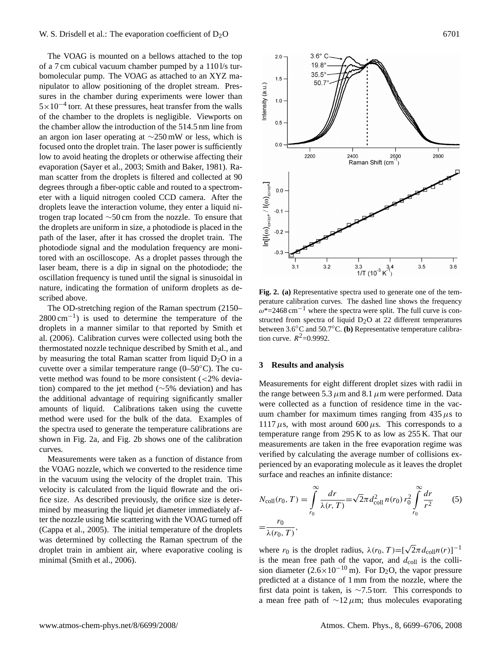## W. S. Drisdell et al.: The evaporation coefficient of  $D_2O$  6701

The VOAG is mounted on a bellows attached to the top of a 7 cm cubical vacuum chamber pumped by a 110 l/s turbomolecular pump. The VOAG as attached to an XYZ manipulator to allow positioning of the droplet stream. Pressures in the chamber during experiments were lower than  $5 \times 10^{-4}$  torr. At these pressures, heat transfer from the walls of the chamber to the droplets is negligible. Viewports on the chamber allow the introduction of the 514.5 nm line from an argon ion laser operating at ∼250 mW or less, which is focused onto the droplet train. The laser power is sufficiently low to avoid heating the droplets or otherwise affecting their evaporation (Sayer et al., 2003; Smith and Baker, 1981). Raman scatter from the droplets is filtered and collected at 90 degrees through a fiber-optic cable and routed to a spectrometer with a liquid nitrogen cooled CCD camera. After the droplets leave the interaction volume, they enter a liquid nitrogen trap located ∼50 cm from the nozzle. To ensure that the droplets are uniform in size, a photodiode is placed in the path of the laser, after it has crossed the droplet train. The photodiode signal and the modulation frequency are monitored with an oscilloscope. As a droplet passes through the laser beam, there is a dip in signal on the photodiode; the oscillation frequency is tuned until the signal is sinusoidal in nature, indicating the formation of uniform droplets as described above.

The OD-stretching region of the Raman spectrum (2150– 2800 cm<sup>-1</sup>) is used to determine the temperature of the droplets in a manner similar to that reported by Smith et al. (2006). Calibration curves were collected using both the thermostated nozzle technique described by Smith et al., and by measuring the total Raman scatter from liquid  $D_2O$  in a cuvette over a similar temperature range  $(0-50°C)$ . The cuvette method was found to be more consistent  $\left( \langle 2\% \rangle \right)$  deviation) compared to the jet method (∼5% deviation) and has the additional advantage of requiring significantly smaller amounts of liquid. Calibrations taken using the cuvette method were used for the bulk of the data. Examples of the spectra used to generate the temperature calibrations are shown in Fig. 2a, and Fig. 2b shows one of the calibration curves.

Measurements were taken as a function of distance from the VOAG nozzle, which we converted to the residence time in the vacuum using the velocity of the droplet train. This velocity is calculated from the liquid flowrate and the orifice size. As described previously, the orifice size is determined by measuring the liquid jet diameter immediately after the nozzle using Mie scattering with the VOAG turned off (Cappa et al., 2005). The initial temperature of the droplets was determined by collecting the Raman spectrum of the droplet train in ambient air, where evaporative cooling is minimal (Smith et al., 2006).



**Fig. 2. (a)** Representative spectra used to generate one of the temperature calibration curves. The dashed line shows the frequency  $\omega^*$ =2468 cm<sup>-1</sup> where the spectra were split. The full curve is constructed from spectra of liquid  $D_2O$  at 22 different temperatures between 3.6◦C and 50.7◦C. **(b)** Representative temperature calibration curve.  $R^2 = 0.9992$ .

#### **3 Results and analysis**

Measurements for eight different droplet sizes with radii in the range between 5.3  $\mu$ m and 8.1  $\mu$ m were performed. Data were collected as a function of residence time in the vacuum chamber for maximum times ranging from  $435 \mu s$  to 1117 $\mu$ s, with most around 600 $\mu$ s. This corresponds to a temperature range from 295 K to as low as 255 K. That our measurements are taken in the free evaporation regime was verified by calculating the average number of collisions experienced by an evaporating molecule as it leaves the droplet surface and reaches an infinite distance:

$$
N_{\text{coll}}(r_0, T) = \int_{r_0}^{\infty} \frac{dr}{\lambda(r, T)} = \sqrt{2}\pi d_{\text{coll}}^2 n(r_0) r_0^2 \int_{r_0}^{\infty} \frac{dr}{r^2}
$$
 (5)  
=  $\frac{r_0}{\lambda(r_0, T)}$ ,

where  $r_0$  is the droplet radius,  $\lambda(r_0, T) = [\sqrt{2\pi} d_{\text{coll}}(r)]^{-1}$ is the mean free path of the vapor, and  $d_{\text{coll}}$  is the collision diameter  $(2.6 \times 10^{-10} \text{ m})$ . For D<sub>2</sub>O, the vapor pressure predicted at a distance of 1 mm from the nozzle, where the first data point is taken, is ∼7.5 torr. This corresponds to a mean free path of  $\sim$ 12µm; thus molecules evaporating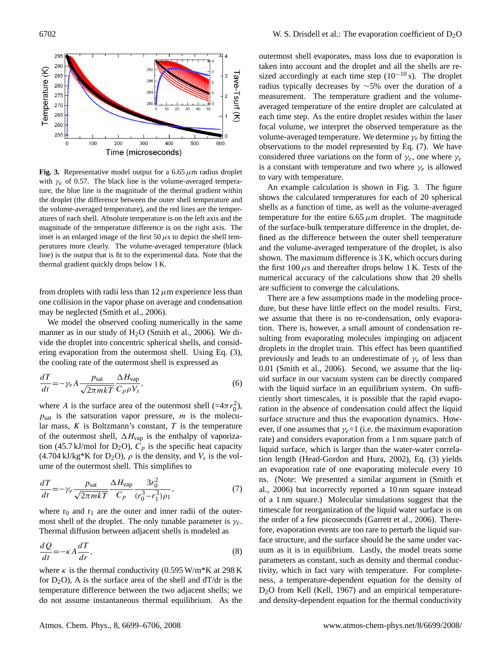

**Fig. 3.** Representative model output for a 6.65  $\mu$ m radius droplet with  $\gamma_e$  of 0.57. The black line is the volume-averaged temperature, the blue line is the magnitude of the thermal gradient within the droplet (the difference between the outer shell temperature and the volume-averaged temperature), and the red lines are the temperatures of each shell. Absolute temperature is on the left axis and the magnitude of the temperature difference is on the right axis. The inset is an enlarged image of the first  $50 \mu s$  to depict the shell temperatures more clearly. The volume-averaged temperature (black line) is the output that is fit to the experimental data. Note that the thermal gradient quickly drops below 1 K.

from droplets with radii less than  $12 \mu$ m experience less than one collision in the vapor phase on average and condensation may be neglected (Smith et al., 2006).

We model the observed cooling numerically in the same manner as in our study of  $H<sub>2</sub>O$  (Smith et al., 2006). We divide the droplet into concentric spherical shells, and considering evaporation from the outermost shell. Using Eq. (3), the cooling rate of the outermost shell is expressed as

$$
\frac{dT}{dt} = -\gamma_e A \frac{p_{\text{sat}}}{\sqrt{2\pi mkT}} \frac{\Delta H_{\text{vap}}}{C_p \rho V_s},\tag{6}
$$

where A is the surface area of the outermost shell  $(=4\pi r_0^2)$ ,  $p_{\text{sat}}$  is the satsuration vapor pressure, m is the molecular mass,  $K$  is Boltzmann's constant,  $T$  is the temperature of the outermost shell,  $\Delta H_{\text{vap}}$  is the enthalpy of vaporization (45.7 kJ/mol for D<sub>2</sub>O),  $\vec{C}_p$  is the specific heat capacity  $(4.704 \text{ kJ/kg}^* \text{K}$  for D<sub>2</sub>O),  $\rho$  is the density, and  $V_s$  is the volume of the outermost shell. This simplifies to

$$
\frac{dT}{dt} = -\gamma_e \frac{p_{\text{sat}}}{\sqrt{2\pi mkT}} \frac{\Delta H_{\text{vap}}}{C_p} \frac{3r_0^2}{(r_0^3 - r_1^3)\rho_1},\tag{7}
$$

where  $r_0$  and  $r_1$  are the outer and inner radii of the outermost shell of the droplet. The only tunable parameter is  $\gamma_e$ . Thermal diffusion between adjacent shells is modeled as

$$
\frac{dQ}{dt} = -\kappa A \frac{dT}{dr},\tag{8}
$$

where  $\kappa$  is the thermal conductivity (0.595 W/m\*K at 298 K for  $D_2O$ ), A is the surface area of the shell and  $dT/dr$  is the temperature difference between the two adjacent shells; we do not assume instantaneous thermal equilibrium. As the outermost shell evaporates, mass loss due to evaporation is taken into account and the droplet and all the shells are resized accordingly at each time step  $(10^{-10} s)$ . The droplet radius typically decreases by ∼5% over the duration of a measurement. The temperature gradient and the volumeaveraged temperature of the entire droplet are calculated at each time step. As the entire droplet resides within the laser focal volume, we interpret the observed temperature as the volume-averaged temperature. We determine  $\gamma_e$  by fitting the observations to the model represented by Eq. (7). We have considered three variations on the form of  $\gamma_e$ , one where  $\gamma_e$ is a constant with temperature and two where  $\gamma_e$  is allowed to vary with temperature.

An example calculation is shown in Fig. 3. The figure shows the calculated temperatures for each of 20 spherical shells as a function of time, as well as the volume-averaged temperature for the entire 6.65  $\mu$ m droplet. The magnitude of the surface-bulk temperature difference in the droplet, defined as the difference between the outer shell temperature and the volume-averaged temperature of the droplet, is also shown. The maximum difference is 3 K, which occurs during the first  $100 \mu s$  and thereafter drops below 1 K. Tests of the numerical accuracy of the calculations show that 20 shells are sufficient to converge the calculations.

There are a few assumptions made in the modeling procedure, but these have little effect on the model results. First, we assume that there is no re-condensation, only evaporation. There is, however, a small amount of condensation resulting from evaporating molecules impinging on adjacent droplets in the droplet train. This effect has been quantified previously and leads to an underestimate of  $\gamma_e$  of less than 0.01 (Smith et al., 2006). Second, we assume that the liquid surface in our vacuum system can be directly compared with the liquid surface in an equilibrium system. On sufficiently short timescales, it is possible that the rapid evaporation in the absence of condensation could affect the liquid surface structure and thus the evaporation dynamics. However, if one assumes that  $\gamma_e=1$  (i.e. the maximum evaporation rate) and considers evaporation from a 1 nm square patch of liquid surface, which is larger than the water-water correlation length (Head-Gordon and Hura, 2002), Eq. (3) yields an evaporation rate of one evaporating molecule every 10 ns. (Note: We presented a similar argument in (Smith et al., 2006) but incorrectly reported a 10 nm square instead of a 1 nm square.) Molecular simulations suggest that the timescale for reorganization of the liquid water surface is on the order of a few picoseconds (Garrett et al., 2006). Therefore, evaporation events are too rare to perturb the liquid surface structure, and the surface should be the same under vacuum as it is in equilibrium. Lastly, the model treats some parameters as constant, such as density and thermal conductivity, which in fact vary with temperature. For completeness, a temperature-dependent equation for the density of  $D_2O$  from Kell (Kell, 1967) and an empirical temperatureand density-dependent equation for the thermal conductivity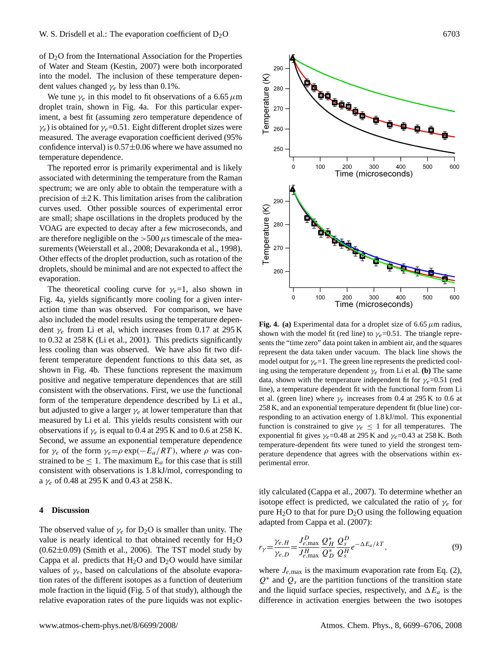of D2O from the International Association for the Properties of Water and Steam (Kestin, 2007) were both incorporated into the model. The inclusion of these temperature dependent values changed  $\gamma_e$  by less than 0.1%.

We tune  $\gamma_e$  in this model to fit observations of a 6.65  $\mu$ m droplet train, shown in Fig. 4a. For this particular experiment, a best fit (assuming zero temperature dependence of  $\gamma_e$ ) is obtained for  $\gamma_e$ =0.51. Eight different droplet sizes were measured. The average evaporation coefficient derived (95% confidence interval) is  $0.57\pm0.06$  where we have assumed no temperature dependence.

The reported error is primarily experimental and is likely associated with determining the temperature from the Raman spectrum; we are only able to obtain the temperature with a precision of  $\pm 2$  K. This limitation arises from the calibration curves used. Other possible sources of experimental error are small; shape oscillations in the droplets produced by the VOAG are expected to decay after a few microseconds, and are therefore negligible on the  $>500 \mu s$  timescale of the measurements (Weierstall et al., 2008; Devarakonda et al., 1998). Other effects of the droplet production, such as rotation of the droplets, should be minimal and are not expected to affect the evaporation.

The theoretical cooling curve for  $\gamma_e=1$ , also shown in Fig. 4a, yields significantly more cooling for a given interaction time than was observed. For comparison, we have also included the model results using the temperature dependent  $\gamma_e$  from Li et al, which increases from 0.17 at 295 K to 0.32 at 258 K (Li et al., 2001). This predicts significantly less cooling than was observed. We have also fit two different temperature dependent functions to this data set, as shown in Fig. 4b. These functions represent the maximum positive and negative temperature dependences that are still consistent with the observations. First, we use the functional form of the temperature dependence described by Li et al., but adjusted to give a larger  $\gamma_e$  at lower temperature than that measured by Li et al. This yields results consistent with our observations if  $\gamma_e$  is equal to 0.4 at 295 K and to 0.6 at 258 K. Second, we assume an exponential temperature dependence for  $\gamma_e$  of the form  $\gamma_e = \rho \exp(-E_a/RT)$ , where  $\rho$  was constrained to be  $\leq 1$ . The maximum  $E_a$  for this case that is still consistent with observations is 1.8 kJ/mol, corresponding to a  $\gamma_e$  of 0.48 at 295 K and 0.43 at 258 K.

#### **4 Discussion**

The observed value of  $\gamma_e$  for D<sub>2</sub>O is smaller than unity. The value is nearly identical to that obtained recently for  $H_2O$  $(0.62\pm0.09)$  (Smith et al., 2006). The TST model study by Cappa et al. predicts that  $H_2O$  and  $D_2O$  would have similar values of  $\gamma_e$ , based on calculations of the absolute evaporation rates of the different isotopes as a function of deuterium mole fraction in the liquid (Fig. 5 of that study), although the relative evaporation rates of the pure liquids was not explic-



**Fig. 4. (a)** Experimental data for a droplet size of 6.65  $\mu$ m radius, shown with the model fit (red line) to  $\gamma_e$ =0.51. The triangle represents the "time zero" data point taken in ambient air, and the squares represent the data taken under vacuum. The black line shows the model output for  $\gamma_e=1$ . The green line represents the predicted cooling using the temperature dependent  $\gamma_e$  from Li et al. **(b)** The same data, shown with the temperature independent fit for  $\gamma_e$ =0.51 (red line), a temperature dependent fit with the functional form from Li et al. (green line) where  $\gamma_e$  increases from 0.4 at 295 K to 0.6 at 258 K, and an exponential temperature dependent fit (blue line) corresponding to an activation energy of 1.8 kJ/mol. This exponential function is constrained to give  $\gamma_e \leq 1$  for all temperatures. The exponential fit gives  $\gamma_e$ =0.48 at 295 K and  $\gamma_e$ =0.43 at 258 K. Both temperature-dependent fits were tuned to yield the strongest temperature dependence that agrees with the observations within experimental error.

itly calculated (Cappa et al., 2007). To determine whether an isotope effect is predicted, we calculated the ratio of  $\gamma_e$  for pure  $H_2O$  to that for pure  $D_2O$  using the following equation adapted from Cappa et al. (2007):

$$
r_{\gamma} = \frac{\gamma_{e,H}}{\gamma_{e,D}} = \frac{J_{e,\text{max}}^D}{J_{e,\text{max}}^H} \frac{Q_H^*}{Q_D^*} \frac{Q_S^D}{Q_S^H} e^{-\Delta E_a/kT},\tag{9}
$$

where  $J_{e,\text{max}}$  is the maximum evaporation rate from Eq. (2),  $Q^*$  and  $Q_s$  are the partition functions of the transition state and the liquid surface species, respectively, and  $\Delta E_a$  is the difference in activation energies between the two isotopes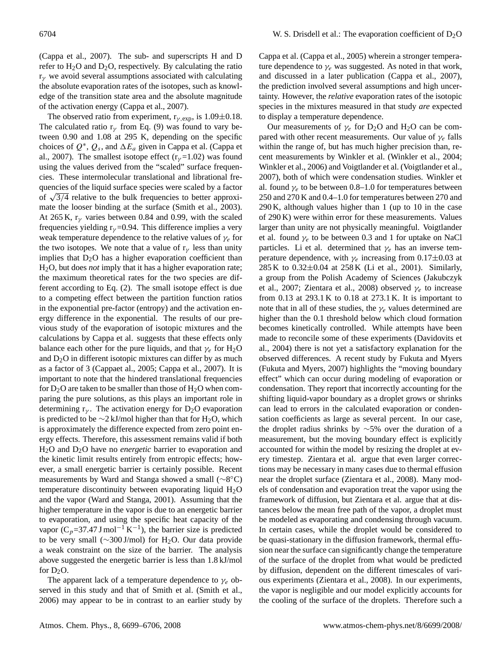(Cappa et al., 2007). The sub- and superscripts H and D refer to  $H_2O$  and  $D_2O$ , respectively. By calculating the ratio  $r_{\gamma}$  we avoid several assumptions associated with calculating the absolute evaporation rates of the isotopes, such as knowledge of the transition state area and the absolute magnitude of the activation energy (Cappa et al., 2007).

The observed ratio from experiment,  $r_{\gamma,exp}$ , is 1.09 $\pm$ 0.18. The calculated ratio  $r<sub>\gamma</sub>$  from Eq. (9) was found to vary between 0.90 and 1.08 at 295 K, depending on the specific choices of  $Q^*$ ,  $Q_s$ , and  $\Delta E_a$  given in Cappa et al. (Cappa et al., 2007). The smallest isotope effect ( $r_y$ =1.02) was found using the values derived from the "scaled" surface frequencies. These intermolecular translational and librational frequencies of the liquid surface species were scaled by a factor quencies of the induct state species were scaled by a factor of  $\sqrt{3/4}$  relative to the bulk frequencies to better approximate the looser binding at the surface (Smith et al., 2003). At 265 K,  $r_v$  varies between 0.84 and 0.99, with the scaled frequencies yielding  $r<sub>\gamma</sub> = 0.94$ . This difference implies a very weak temperature dependence to the relative values of  $\gamma_e$  for the two isotopes. We note that a value of  $r<sub>\gamma</sub>$  less than unity implies that  $D_2O$  has a higher evaporation coefficient than H2O, but does *not* imply that it has a higher evaporation rate; the maximum theoretical rates for the two species are different according to Eq. (2). The small isotope effect is due to a competing effect between the partition function ratios in the exponential pre-factor (entropy) and the activation energy difference in the exponential. The results of our previous study of the evaporation of isotopic mixtures and the calculations by Cappa et al. suggests that these effects only balance each other for the pure liquids, and that  $\gamma_e$  for H<sub>2</sub>O and  $D_2O$  in different isotopic mixtures can differ by as much as a factor of 3 (Cappaet al., 2005; Cappa et al., 2007). It is important to note that the hindered translational frequencies for  $D_2O$  are taken to be smaller than those of  $H_2O$  when comparing the pure solutions, as this plays an important role in determining  $r_{\gamma}$ . The activation energy for D<sub>2</sub>O evaporation is predicted to be  $\sim$ 2 kJ/mol higher than that for H<sub>2</sub>O, which is approximately the difference expected from zero point energy effects. Therefore, this assessment remains valid if both H2O and D2O have no *energetic* barrier to evaporation and the kinetic limit results entirely from entropic effects; however, a small energetic barrier is certainly possible. Recent measurements by Ward and Stanga showed a small (~8°C) temperature discontinuity between evaporating liquid  $H_2O$ and the vapor (Ward and Stanga, 2001). Assuming that the higher temperature in the vapor is due to an energetic barrier to evaporation, and using the specific heat capacity of the vapor  $(C_p=37.47 \text{ J mol}^{-1} \text{ K}^{-1})$ , the barrier size is predicted to be very small ( $\sim$ 300 J/mol) for H<sub>2</sub>O. Our data provide a weak constraint on the size of the barrier. The analysis above suggested the energetic barrier is less than 1.8 kJ/mol for  $D_2O$ .

The apparent lack of a temperature dependence to  $\gamma_e$  observed in this study and that of Smith et al. (Smith et al., 2006) may appear to be in contrast to an earlier study by Cappa et al. (Cappa et al., 2005) wherein a stronger temperature dependence to  $\gamma_e$  was suggested. As noted in that work, and discussed in a later publication (Cappa et al., 2007), the prediction involved several assumptions and high uncertainty. However, the *relative* evaporation rates of the isotopic species in the mixtures measured in that study *are* expected to display a temperature dependence.

Our measurements of  $\gamma_e$  for D<sub>2</sub>O and H<sub>2</sub>O can be compared with other recent measurements. Our value of  $\gamma_e$  falls within the range of, but has much higher precision than, recent measurements by Winkler et al. (Winkler et al., 2004; Winkler et al., 2006) and Voigtlander et al. (Voigtlander et al., 2007), both of which were condensation studies. Winkler et al. found  $\gamma_e$  to be between 0.8–1.0 for temperatures between 250 and 270 K and 0.4–1.0 for temperatures between 270 and 290 K, although values higher than 1 (up to 10 in the case of 290 K) were within error for these measurements. Values larger than unity are not physically meaningful. Voigtlander et al. found  $\gamma_e$  to be between 0.3 and 1 for uptake on NaCl particles. Li et al. determined that  $\gamma_e$  has an inverse temperature dependence, with  $\gamma_e$  increasing from 0.17 $\pm$ 0.03 at 285 K to 0.32±0.04 at 258 K (Li et al., 2001). Similarly, a group from the Polish Academy of Sciences (Jakubczyk et al., 2007; Zientara et al., 2008) observed  $\gamma_e$  to increase from 0.13 at 293.1 K to 0.18 at 273.1 K. It is important to note that in all of these studies, the  $\gamma_e$  values determined are higher than the 0.1 threshold below which cloud formation becomes kinetically controlled. While attempts have been made to reconcile some of these experiments (Davidovits et al., 2004) there is not yet a satisfactory explanation for the observed differences. A recent study by Fukuta and Myers (Fukuta and Myers, 2007) highlights the "moving boundary effect" which can occur during modeling of evaporation or condensation. They report that incorrectly accounting for the shifting liquid-vapor boundary as a droplet grows or shrinks can lead to errors in the calculated evaporation or condensation coefficients as large as several percent. In our case, the droplet radius shrinks by ∼5% over the duration of a measurement, but the moving boundary effect is explicitly accounted for within the model by resizing the droplet at every timestep. Zientara et al. argue that even larger corrections may be necessary in many cases due to thermal effusion near the droplet surface (Zientara et al., 2008). Many models of condensation and evaporation treat the vapor using the framework of diffusion, but Zientara et al. argue that at distances below the mean free path of the vapor, a droplet must be modeled as evaporating and condensing through vacuum. In certain cases, while the droplet would be considered to be quasi-stationary in the diffusion framework, thermal effusion near the surface can significantly change the temperature of the surface of the droplet from what would be predicted by diffusion, dependent on the different timescales of various experiments (Zientara et al., 2008). In our experiments, the vapor is negligible and our model explicitly accounts for the cooling of the surface of the droplets. Therefore such a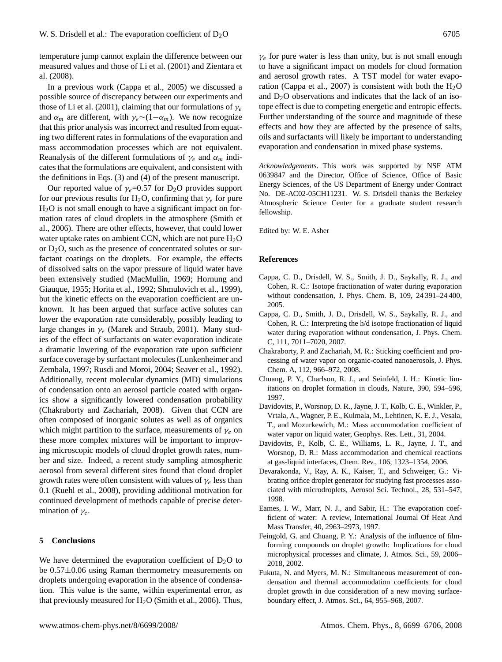temperature jump cannot explain the difference between our measured values and those of Li et al. (2001) and Zientara et al. (2008).

In a previous work (Cappa et al., 2005) we discussed a possible source of discrepancy between our experiments and those of Li et al. (2001), claiming that our formulations of  $\gamma_e$ and  $\alpha_m$  are different, with  $\gamma_e \sim (1-\alpha_m)$ . We now recognize that this prior analysis was incorrect and resulted from equating two different rates in formulations of the evaporation and mass accommodation processes which are not equivalent. Reanalysis of the different formulations of  $\gamma_e$  and  $\alpha_m$  indicates that the formulations are equivalent, and consistent with the definitions in Eqs. (3) and (4) of the present manuscript.

Our reported value of  $\gamma_e$ =0.57 for D<sub>2</sub>O provides support for our previous results for H<sub>2</sub>O, confirming that  $\gamma_e$  for pure  $H<sub>2</sub>O$  is not small enough to have a significant impact on formation rates of cloud droplets in the atmosphere (Smith et al., 2006). There are other effects, however, that could lower water uptake rates on ambient CCN, which are not pure  $H_2O$ or  $D_2O$ , such as the presence of concentrated solutes or surfactant coatings on the droplets. For example, the effects of dissolved salts on the vapor pressure of liquid water have been extensively studied (MacMullin, 1969; Hornung and Giauque, 1955; Horita et al., 1992; Shmulovich et al., 1999), but the kinetic effects on the evaporation coefficient are unknown. It has been argued that surface active solutes can lower the evaporation rate considerably, possibly leading to large changes in  $\gamma_e$  (Marek and Straub, 2001). Many studies of the effect of surfactants on water evaporation indicate a dramatic lowering of the evaporation rate upon sufficient surface coverage by surfactant molecules (Lunkenheimer and Zembala, 1997; Rusdi and Moroi, 2004; Seaver et al., 1992). Additionally, recent molecular dynamics (MD) simulations of condensation onto an aerosol particle coated with organics show a significantly lowered condensation probability (Chakraborty and Zachariah, 2008). Given that CCN are often composed of inorganic solutes as well as of organics which might partition to the surface, measurements of  $\gamma_e$  on these more complex mixtures will be important to improving microscopic models of cloud droplet growth rates, number and size. Indeed, a recent study sampling atmospheric aerosol from several different sites found that cloud droplet growth rates were often consistent with values of  $\gamma_e$  less than 0.1 (Ruehl et al., 2008), providing additional motivation for continued development of methods capable of precise determination of  $\gamma_e$ .

## **5 Conclusions**

We have determined the evaporation coefficient of  $D_2O$  to be 0.57±0.06 using Raman thermometry measurements on droplets undergoing evaporation in the absence of condensation. This value is the same, within experimental error, as that previously measured for  $H<sub>2</sub>O$  (Smith et al., 2006). Thus,

 $\gamma_e$  for pure water is less than unity, but is not small enough to have a significant impact on models for cloud formation and aerosol growth rates. A TST model for water evaporation (Cappa et al., 2007) is consistent with both the  $H_2O$ and  $D_2O$  observations and indicates that the lack of an isotope effect is due to competing energetic and entropic effects. Further understanding of the source and magnitude of these effects and how they are affected by the presence of salts, oils and surfactants will likely be important to understanding evaporation and condensation in mixed phase systems.

*Acknowledgements.* This work was supported by NSF ATM 0639847 and the Director, Office of Science, Office of Basic Energy Sciences, of the US Department of Energy under Contract No. DE-AC02-05CH11231. W. S. Drisdell thanks the Berkeley Atmospheric Science Center for a graduate student research fellowship.

Edited by: W. E. Asher

#### **References**

- Cappa, C. D., Drisdell, W. S., Smith, J. D., Saykally, R. J., and Cohen, R. C.: Isotope fractionation of water during evaporation without condensation, J. Phys. Chem. B, 109, 24 391–24 400, 2005.
- Cappa, C. D., Smith, J. D., Drisdell, W. S., Saykally, R. J., and Cohen, R. C.: Interpreting the h/d isotope fractionation of liquid water during evaporation without condensation, J. Phys. Chem. C, 111, 7011–7020, 2007.
- Chakraborty, P. and Zachariah, M. R.: Sticking coefficient and processing of water vapor on organic-coated nanoaerosols, J. Phys. Chem. A, 112, 966–972, 2008.
- Chuang, P. Y., Charlson, R. J., and Seinfeld, J. H.: Kinetic limitations on droplet formation in clouds, Nature, 390, 594–596, 1997.
- Davidovits, P., Worsnop, D. R., Jayne, J. T., Kolb, C. E., Winkler, P., Vrtala, A., Wagner, P. E., Kulmala, M., Lehtinen, K. E. J., Vesala, T., and Mozurkewich, M.: Mass accommodation coefficient of water vapor on liquid water, Geophys. Res. Lett., 31, 2004.
- Davidovits, P., Kolb, C. E., Williams, L. R., Jayne, J. T., and Worsnop, D. R.: Mass accommodation and chemical reactions at gas-liquid interfaces, Chem. Rev., 106, 1323–1354, 2006.
- Devarakonda, V., Ray, A. K., Kaiser, T., and Schweiger, G.: Vibrating orifice droplet generator for studying fast processes associated with microdroplets, Aerosol Sci. Technol., 28, 531–547, 1998.
- Eames, I. W., Marr, N. J., and Sabir, H.: The evaporation coefficient of water: A review, International Journal Of Heat And Mass Transfer, 40, 2963–2973, 1997.
- Feingold, G. and Chuang, P. Y.: Analysis of the influence of filmforming compounds on droplet growth: Implications for cloud microphysical processes and climate, J. Atmos. Sci., 59, 2006– 2018, 2002.
- Fukuta, N. and Myers, M. N.: Simultaneous measurement of condensation and thermal accommodation coefficients for cloud droplet growth in due consideration of a new moving surfaceboundary effect, J. Atmos. Sci., 64, 955–968, 2007.